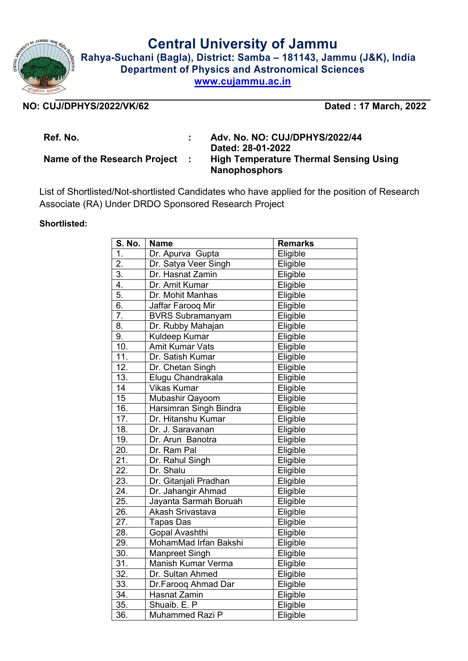

**Central University of Jammu**

**Rahya-Suchani (Bagla), District: Samba – 181143, Jammu (J&K), India Department of Physics and Astronomical Sciences www.cujammu.ac.in**

## **NO: CUJ/DPHYS/2022/VK/62 Dated : 17 March, 2022**

**Ref. No. : Adv. No. NO: CUJ/DPHYS/2022/44 Dated: 28-01-2022 Name of the Research Project : High Temperature Thermal Sensing Using Nanophosphors**

List of Shortlisted/Not-shortlisted Candidates who have applied for the position of Research Associate (RA) Under DRDO Sponsored Research Project

## **Shortlisted:**

| S. No.            | <b>Name</b>             | <b>Remarks</b> |
|-------------------|-------------------------|----------------|
| 1.                | Dr. Apurva Gupta        | Eligible       |
| $\overline{2}$ .  | Dr. Satya Veer Singh    | Eligible       |
| 3.                | Dr. Hasnat Zamin        | Eligible       |
| 4.                | Dr. Amit Kumar          | Eligible       |
| 5.                | Dr. Mohit Manhas        | Eligible       |
| 6.                | Jaffar Farooq Mir       | Eligible       |
| $\overline{7}$ .  | <b>BVRS Subramanyam</b> | Eligible       |
| 8.                | Dr. Rubby Mahajan       | Eligible       |
| 9.                | Kuldeep Kumar           | Eligible       |
| 10.               | <b>Amit Kumar Vats</b>  | Eligible       |
| 11.               | Dr. Satish Kumar        | Eligible       |
| $\overline{12}$ . | Dr. Chetan Singh        | Eligible       |
| 13.               | Elugu Chandrakala       | Eligible       |
| 14                | <b>Vikas Kumar</b>      | Eligible       |
| 15                | Mubashir Qayoom         | Eligible       |
| 16.               | Harsimran Singh Bindra  | Eligible       |
| 17.               | Dr. Hitanshu Kumar      | Eligible       |
| 18.               | Dr. J. Saravanan        | Eligible       |
| 19.               | Dr. Arun Banotra        | Eligible       |
| 20.               | Dr. Ram Pal             | Eligible       |
| $\overline{2}1$ . | Dr. Rahul Singh         | Eligible       |
| 22.               | Dr. Shalu               | Eligible       |
| 23.               | Dr. Gitanjali Pradhan   | Eligible       |
| 24.               | Dr. Jahangir Ahmad      | Eligible       |
| 25.               | Jayanta Sarmah Boruah   | Eligible       |
| 26.               | Akash Srivastava        | Eligible       |
| 27.               | <b>Tapas Das</b>        | Eligible       |
| 28.               | Gopal Avashthi          | Eligible       |
| 29.               | MohamMad Irfan Bakshi   | Eligible       |
| 30.               | Manpreet Singh          | Eligible       |
| 31.               | Manish Kumar Verma      | Eligible       |
| $\overline{32}$ . | Dr. Sultan Ahmed        | Eligible       |
| 33.               | Dr.Farooq Ahmad Dar     | Eligible       |
| 34.               | Hasnat Zamin            | Eligible       |
| $\overline{35}$ . | Shuaib. E. P            | Eligible       |
| $\overline{36}$ . | Muhammed Razi P         | Eligible       |